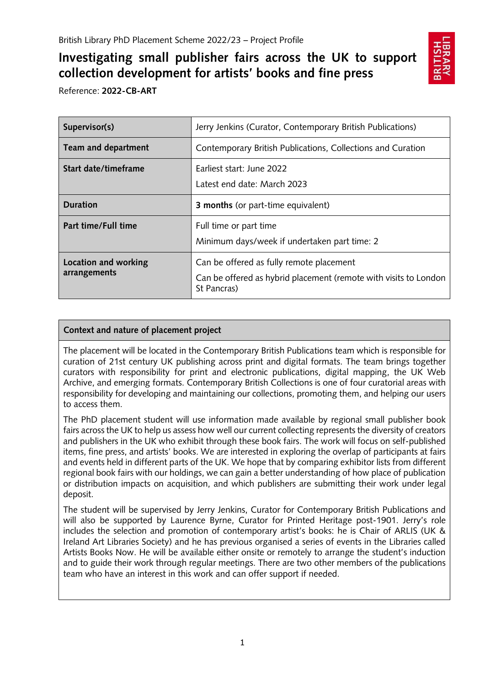# **Investigating small publisher fairs across the UK to support collection development for artists' books and fine press**



Reference: **2022-CB-ART**

| Supervisor(s)                        | Jerry Jenkins (Curator, Contemporary British Publications)                                                                  |
|--------------------------------------|-----------------------------------------------------------------------------------------------------------------------------|
| Team and department                  | Contemporary British Publications, Collections and Curation                                                                 |
| Start date/timeframe                 | Earliest start: June 2022<br>Latest end date: March 2023                                                                    |
| <b>Duration</b>                      | <b>3 months</b> (or part-time equivalent)                                                                                   |
| Part time/Full time                  | Full time or part time<br>Minimum days/week if undertaken part time: 2                                                      |
| Location and working<br>arrangements | Can be offered as fully remote placement<br>Can be offered as hybrid placement (remote with visits to London<br>St Pancras) |

## **Context and nature of placement project**

The placement will be located in the Contemporary British Publications team which is responsible for curation of 21st century UK publishing across print and digital formats. The team brings together curators with responsibility for print and electronic publications, digital mapping, the UK Web Archive, and emerging formats. Contemporary British Collections is one of four curatorial areas with responsibility for developing and maintaining our collections, promoting them, and helping our users to access them.

The PhD placement student will use information made available by regional small publisher book fairs across the UK to help us assess how well our current collecting represents the diversity of creators and publishers in the UK who exhibit through these book fairs. The work will focus on self-published items, fine press, and artists' books. We are interested in exploring the overlap of participants at fairs and events held in different parts of the UK. We hope that by comparing exhibitor lists from different regional book fairs with our holdings, we can gain a better understanding of how place of publication or distribution impacts on acquisition, and which publishers are submitting their work under legal deposit.

The student will be supervised by Jerry Jenkins, Curator for Contemporary British Publications and will also be supported by Laurence Byrne, Curator for Printed Heritage post-1901. Jerry's role includes the selection and promotion of contemporary artist's books: he is Chair of ARLIS (UK & Ireland Art Libraries Society) and he has previous organised a series of events in the Libraries called Artists Books Now. He will be available either onsite or remotely to arrange the student's induction and to guide their work through regular meetings. There are two other members of the publications team who have an interest in this work and can offer support if needed.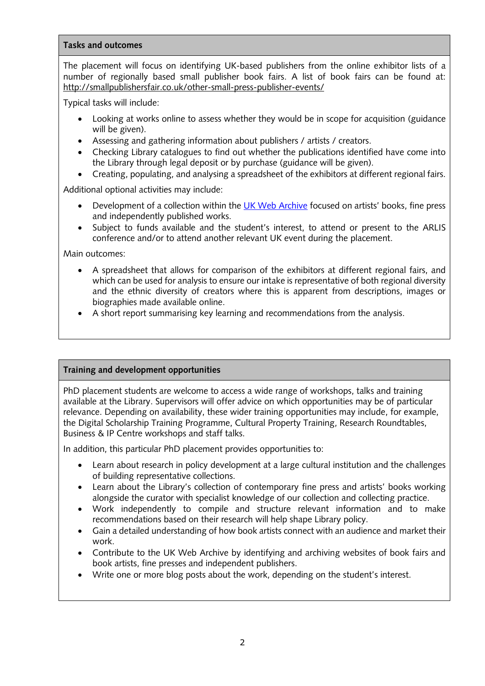#### **Tasks and outcomes**

The placement will focus on identifying UK-based publishers from the online exhibitor lists of a number of regionally based small publisher book fairs. A list of book fairs can be found at: <http://smallpublishersfair.co.uk/other-small-press-publisher-events/>

Typical tasks will include:

- Looking at works online to assess whether they would be in scope for acquisition (guidance will be given).
- Assessing and gathering information about publishers / artists / creators.
- Checking Library catalogues to find out whether the publications identified have come into the Library through legal deposit or by purchase (guidance will be given).
- Creating, populating, and analysing a spreadsheet of the exhibitors at different regional fairs.

Additional optional activities may include:

- Development of a collection within the [UK Web Archive](https://www.webarchive.org.uk/) focused on artists' books, fine press and independently published works.
- Subject to funds available and the student's interest, to attend or present to the ARLIS conference and/or to attend another relevant UK event during the placement.

Main outcomes:

- A spreadsheet that allows for comparison of the exhibitors at different regional fairs, and which can be used for analysis to ensure our intake is representative of both regional diversity and the ethnic diversity of creators where this is apparent from descriptions, images or biographies made available online.
- A short report summarising key learning and recommendations from the analysis.

### **Training and development opportunities**

PhD placement students are welcome to access a wide range of workshops, talks and training available at the Library. Supervisors will offer advice on which opportunities may be of particular relevance. Depending on availability, these wider training opportunities may include, for example, the Digital Scholarship Training Programme, Cultural Property Training, Research Roundtables, Business & IP Centre workshops and staff talks.

In addition, this particular PhD placement provides opportunities to:

- Learn about research in policy development at a large cultural institution and the challenges of building representative collections.
- Learn about the Library's collection of contemporary fine press and artists' books working alongside the curator with specialist knowledge of our collection and collecting practice.
- Work independently to compile and structure relevant information and to make recommendations based on their research will help shape Library policy.
- Gain a detailed understanding of how book artists connect with an audience and market their work.
- Contribute to the UK Web Archive by identifying and archiving websites of book fairs and book artists, fine presses and independent publishers.
- Write one or more blog posts about the work, depending on the student's interest.